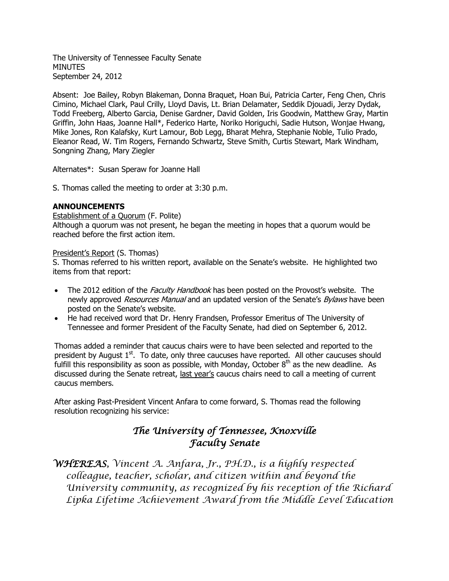The University of Tennessee Faculty Senate **MINUTES** September 24, 2012

Absent: Joe Bailey, Robyn Blakeman, Donna Braquet, Hoan Bui, Patricia Carter, Feng Chen, Chris Cimino, Michael Clark, Paul Crilly, Lloyd Davis, Lt. Brian Delamater, Seddik Djouadi, Jerzy Dydak, Todd Freeberg, Alberto Garcia, Denise Gardner, David Golden, Iris Goodwin, Matthew Gray, Martin Griffin, John Haas, Joanne Hall\*, Federico Harte, Noriko Horiguchi, Sadie Hutson, Wonjae Hwang, Mike Jones, Ron Kalafsky, Kurt Lamour, Bob Legg, Bharat Mehra, Stephanie Noble, Tulio Prado, Eleanor Read, W. Tim Rogers, Fernando Schwartz, Steve Smith, Curtis Stewart, Mark Windham, Songning Zhang, Mary Ziegler

Alternates\*: Susan Speraw for Joanne Hall

S. Thomas called the meeting to order at 3:30 p.m.

## **ANNOUNCEMENTS**

Establishment of a Quorum (F. Polite)

Although a quorum was not present, he began the meeting in hopes that a quorum would be reached before the first action item.

#### President's Report (S. Thomas)

S. Thomas referred to his written report, available on the Senate's website. He highlighted two items from that report:

- The 2012 edition of the *Faculty Handbook* has been posted on the Provost's website. The newly approved Resources Manual and an updated version of the Senate's Bylaws have been posted on the Senate's website.
- He had received word that Dr. Henry Frandsen, Professor Emeritus of The University of Tennessee and former President of the Faculty Senate, had died on September 6, 2012.

Thomas added a reminder that caucus chairs were to have been selected and reported to the president by August 1<sup>st</sup>. To date, only three caucuses have reported. All other caucuses should fulfill this responsibility as soon as possible, with Monday, October  $8<sup>th</sup>$  as the new deadline. As discussed during the Senate retreat, last year's caucus chairs need to call a meeting of current caucus members.

After asking Past-President Vincent Anfara to come forward, S. Thomas read the following resolution recognizing his service:

# *The University of Tennessee, Knoxville Faculty Senate*

*WHEREAS, Vincent A. Anfara, Jr., PH.D., is a highly respected colleague, teacher, scholar, and citizen within and beyond the University community, as recognized by his reception of the Richard Lipka Lifetime Achievement Award from the Middle Level Education*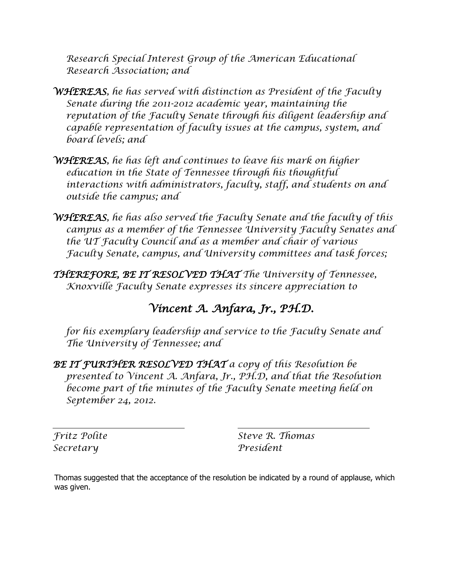*Research Special Interest Group of the American Educational Research Association; and*

- *WHEREAS, he has served with distinction as President of the Faculty Senate during the 2011-2012 academic year, maintaining the reputation of the Faculty Senate through his diligent leadership and capable representation of faculty issues at the campus, system, and board levels; and*
- *WHEREAS, he has left and continues to leave his mark on higher education in the State of Tennessee through his thoughtful interactions with administrators, faculty, staff, and students on and outside the campus; and*
- *WHEREAS, he has also served the Faculty Senate and the faculty of this campus as a member of the Tennessee University Faculty Senates and the UT Faculty Council and as a member and chair of various Faculty Senate, campus, and University committees and task forces;*
- *THEREFORE, BE IT RESOLVED THAT The University of Tennessee, Knoxville Faculty Senate expresses its sincere appreciation to*

# *Vincent A. Anfara, Jr., PH.D.*

*for his exemplary leadership and service to the Faculty Senate and The University of Tennessee; and*

*BE IT FURTHER RESOLVED THAT a copy of this Resolution be presented to Vincent A. Anfara, Jr., PH.D, and that the Resolution become part of the minutes of the Faculty Senate meeting held on September 24, 2012.*

*Secretary President*

 *Fritz Polite Steve R. Thomas*

Thomas suggested that the acceptance of the resolution be indicated by a round of applause, which was given.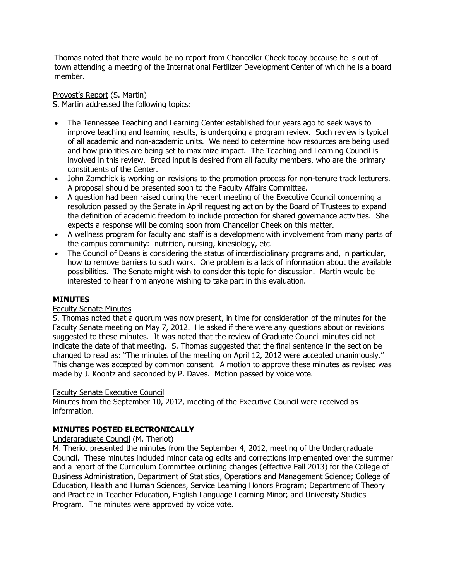Thomas noted that there would be no report from Chancellor Cheek today because he is out of town attending a meeting of the International Fertilizer Development Center of which he is a board member.

Provost's Report (S. Martin)

S. Martin addressed the following topics:

- The Tennessee Teaching and Learning Center established four years ago to seek ways to improve teaching and learning results, is undergoing a program review. Such review is typical of all academic and non-academic units. We need to determine how resources are being used and how priorities are being set to maximize impact. The Teaching and Learning Council is involved in this review. Broad input is desired from all faculty members, who are the primary constituents of the Center.
- John Zomchick is working on revisions to the promotion process for non-tenure track lecturers. A proposal should be presented soon to the Faculty Affairs Committee.
- A question had been raised during the recent meeting of the Executive Council concerning a resolution passed by the Senate in April requesting action by the Board of Trustees to expand the definition of academic freedom to include protection for shared governance activities. She expects a response will be coming soon from Chancellor Cheek on this matter.
- A wellness program for faculty and staff is a development with involvement from many parts of the campus community: nutrition, nursing, kinesiology, etc.
- The Council of Deans is considering the status of interdisciplinary programs and, in particular, how to remove barriers to such work. One problem is a lack of information about the available possibilities. The Senate might wish to consider this topic for discussion. Martin would be interested to hear from anyone wishing to take part in this evaluation.

# **MINUTES**

# Faculty Senate Minutes

S. Thomas noted that a quorum was now present, in time for consideration of the minutes for the Faculty Senate meeting on May 7, 2012. He asked if there were any questions about or revisions suggested to these minutes. It was noted that the review of Graduate Council minutes did not indicate the date of that meeting. S. Thomas suggested that the final sentence in the section be changed to read as: "The minutes of the meeting on April 12, 2012 were accepted unanimously." This change was accepted by common consent. A motion to approve these minutes as revised was made by J. Koontz and seconded by P. Daves. Motion passed by voice vote.

#### Faculty Senate Executive Council

Minutes from the September 10, 2012, meeting of the Executive Council were received as information.

# **MINUTES POSTED ELECTRONICALLY**

# Undergraduate Council (M. Theriot)

M. Theriot presented the minutes from the September 4, 2012, meeting of the Undergraduate Council. These minutes included minor catalog edits and corrections implemented over the summer and a report of the Curriculum Committee outlining changes (effective Fall 2013) for the College of Business Administration, Department of Statistics, Operations and Management Science; College of Education, Health and Human Sciences, Service Learning Honors Program; Department of Theory and Practice in Teacher Education, English Language Learning Minor; and University Studies Program. The minutes were approved by voice vote.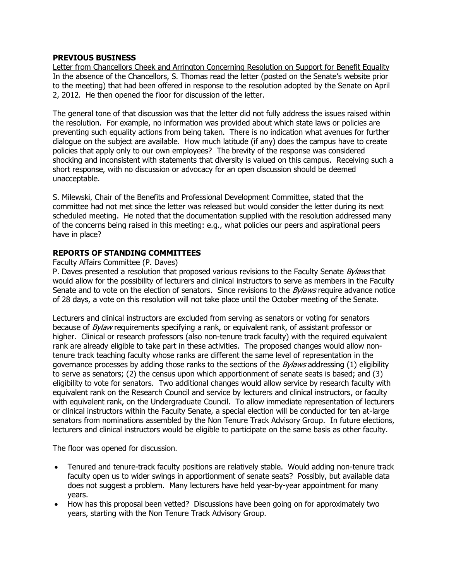# **PREVIOUS BUSINESS**

Letter from Chancellors Cheek and Arrington Concerning Resolution on Support for Benefit Equality In the absence of the Chancellors, S. Thomas read the letter (posted on the Senate's website prior to the meeting) that had been offered in response to the resolution adopted by the Senate on April 2, 2012. He then opened the floor for discussion of the letter.

The general tone of that discussion was that the letter did not fully address the issues raised within the resolution. For example, no information was provided about which state laws or policies are preventing such equality actions from being taken. There is no indication what avenues for further dialogue on the subject are available. How much latitude (if any) does the campus have to create policies that apply only to our own employees? The brevity of the response was considered shocking and inconsistent with statements that diversity is valued on this campus. Receiving such a short response, with no discussion or advocacy for an open discussion should be deemed unacceptable.

S. Milewski, Chair of the Benefits and Professional Development Committee, stated that the committee had not met since the letter was released but would consider the letter during its next scheduled meeting. He noted that the documentation supplied with the resolution addressed many of the concerns being raised in this meeting: e.g., what policies our peers and aspirational peers have in place?

## **REPORTS OF STANDING COMMITTEES**

#### Faculty Affairs Committee (P. Daves)

P. Daves presented a resolution that proposed various revisions to the Faculty Senate Bylaws that would allow for the possibility of lecturers and clinical instructors to serve as members in the Faculty Senate and to vote on the election of senators. Since revisions to the *Bylaws* require advance notice of 28 days, a vote on this resolution will not take place until the October meeting of the Senate.

Lecturers and clinical instructors are excluded from serving as senators or voting for senators because of *Bylaw* requirements specifying a rank, or equivalent rank, of assistant professor or higher. Clinical or research professors (also non-tenure track faculty) with the required equivalent rank are already eligible to take part in these activities. The proposed changes would allow nontenure track teaching faculty whose ranks are different the same level of representation in the governance processes by adding those ranks to the sections of the  $Bylaws$  addressing (1) eligibility to serve as senators; (2) the census upon which apportionment of senate seats is based; and (3) eligibility to vote for senators. Two additional changes would allow service by research faculty with equivalent rank on the Research Council and service by lecturers and clinical instructors, or faculty with equivalent rank, on the Undergraduate Council. To allow immediate representation of lecturers or clinical instructors within the Faculty Senate, a special election will be conducted for ten at-large senators from nominations assembled by the Non Tenure Track Advisory Group. In future elections, lecturers and clinical instructors would be eligible to participate on the same basis as other faculty.

The floor was opened for discussion.

- Tenured and tenure-track faculty positions are relatively stable. Would adding non-tenure track faculty open us to wider swings in apportionment of senate seats? Possibly, but available data does not suggest a problem. Many lecturers have held year-by-year appointment for many years.
- How has this proposal been vetted? Discussions have been going on for approximately two years, starting with the Non Tenure Track Advisory Group.